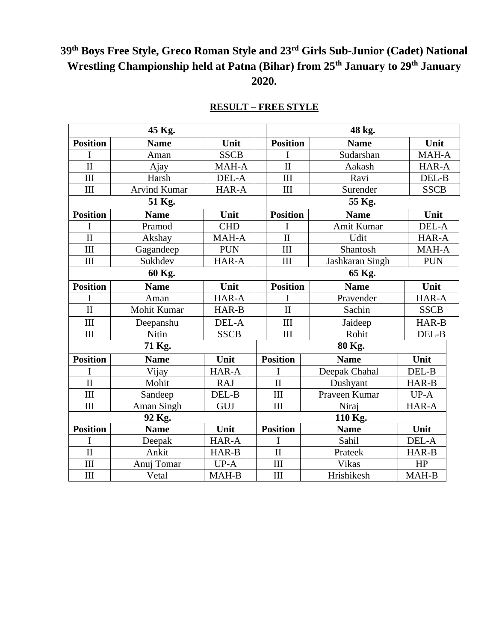# **39th Boys Free Style, Greco Roman Style and 23rd Girls Sub-Junior (Cadet) National Wrestling Championship held at Patna (Bihar) from 25th January to 29th January 2020.**

#### **RESULT – FREE STYLE**

| 45 Kg.                  |                     |              |  | 48 kg.              |                 |             |  |
|-------------------------|---------------------|--------------|--|---------------------|-----------------|-------------|--|
| <b>Position</b>         | <b>Name</b>         | Unit         |  | <b>Position</b>     | <b>Name</b>     | Unit        |  |
| I                       | Aman                | <b>SSCB</b>  |  | I                   | Sudarshan       | MAH-A       |  |
| $\mathbf{I}$            | Ajay                | <b>MAH-A</b> |  | $\mathbf{I}$        | Aakash          | HAR-A       |  |
| III                     | Harsh               | DEL-A        |  | III                 | Ravi            | DEL-B       |  |
| III                     | <b>Arvind Kumar</b> | HAR-A        |  | III                 | Surender        | <b>SSCB</b> |  |
| 51 Kg.                  |                     |              |  | 55 Kg.              |                 |             |  |
| <b>Position</b>         | <b>Name</b>         | Unit         |  | <b>Position</b>     | <b>Name</b>     | Unit        |  |
| $\mathbf I$             | Pramod              | <b>CHD</b>   |  | I                   | Amit Kumar      | DEL-A       |  |
| $\mathbf{I}$            | Akshay              | MAH-A        |  | $\mathbf{I}$        | Udit            | HAR-A       |  |
| III                     | Gagandeep           | <b>PUN</b>   |  | III                 | Shantosh        | MAH-A       |  |
| III                     | Sukhdev             | HAR-A        |  | III                 | Jashkaran Singh | <b>PUN</b>  |  |
| 60 Kg.                  |                     |              |  | 65 Kg.              |                 |             |  |
| <b>Position</b>         | <b>Name</b>         | Unit         |  | <b>Position</b>     | <b>Name</b>     | Unit        |  |
| I                       | Aman                | HAR-A        |  | I                   | Pravender       | HAR-A       |  |
| $\mathbf{I}$            | Mohit Kumar         | HAR-B        |  | $\mathbf{I}$        | Sachin          | <b>SSCB</b> |  |
| III                     | Deepanshu           | DEL-A        |  | III                 | Jaideep         | HAR-B       |  |
| III                     | Nitin               | <b>SSCB</b>  |  | III                 | Rohit           | DEL-B       |  |
| 71 Kg.                  |                     |              |  | 80 Kg.              |                 |             |  |
| <b>Position</b>         | <b>Name</b>         | Unit         |  | <b>Position</b>     | <b>Name</b>     | Unit        |  |
| I                       | Vijay               | HAR-A        |  | I                   | Deepak Chahal   | DEL-B       |  |
| $\mathbf{I}$            | Mohit               | <b>RAJ</b>   |  | $\mathbf{I}$        | Dushyant        | HAR-B       |  |
| III                     | Sandeep             | DEL-B        |  | III                 | Praveen Kumar   | $UP-A$      |  |
| III                     | Aman Singh          | GUJ          |  | III                 | Niraj           | HAR-A       |  |
| 92 Kg.                  |                     |              |  | 110 Kg.             |                 |             |  |
| <b>Position</b>         | <b>Name</b>         | Unit         |  | <b>Position</b>     | <b>Name</b>     | Unit        |  |
| I                       | Deepak              | HAR-A        |  | I                   | Sahil           | DEL-A       |  |
| $\overline{\mathbf{H}}$ | Ankit               | HAR-B        |  | $\overline{\rm II}$ | Prateek         | HAR-B       |  |
| III                     | Anuj Tomar          | $UP-A$       |  | III                 | <b>Vikas</b>    | HP          |  |
| III                     | Vetal               | MAH-B        |  | III                 | Hrishikesh      | MAH-B       |  |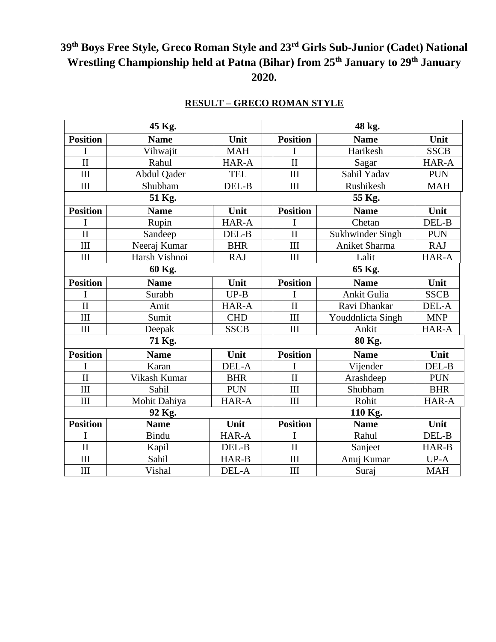## **39th Boys Free Style, Greco Roman Style and 23rd Girls Sub-Junior (Cadet) National Wrestling Championship held at Patna (Bihar) from 25th January to 29th January 2020.**

| 45 Kg.                  |               |             | 48 kg.                  |                      |             |  |  |
|-------------------------|---------------|-------------|-------------------------|----------------------|-------------|--|--|
| <b>Position</b>         | <b>Name</b>   | Unit        | <b>Position</b>         | <b>Name</b>          | Unit        |  |  |
| Ι                       | Vihwajit      | <b>MAH</b>  | I                       | Harikesh             | <b>SSCB</b> |  |  |
| $\mathbf{I}$            | Rahul         | HAR-A       | $\overline{\mathbf{I}}$ | Sagar                | HAR-A       |  |  |
| III                     | Abdul Qader   | <b>TEL</b>  | III                     | Sahil Yadav          | <b>PUN</b>  |  |  |
| $\rm III$               | Shubham       | DEL-B       | III                     | Rushikesh            | <b>MAH</b>  |  |  |
|                         | 51 Kg.        |             |                         | 55 Kg.               |             |  |  |
| <b>Position</b>         | <b>Name</b>   | Unit        | <b>Position</b>         | <b>Name</b>          | Unit        |  |  |
| I                       | Rupin         | HAR-A       | I                       | Chetan               | DEL-B       |  |  |
| $\overline{\mathbf{H}}$ | Sandeep       | DEL-B       | $\overline{\rm II}$     | Sukhwinder Singh     | <b>PUN</b>  |  |  |
| III                     | Neeraj Kumar  | <b>BHR</b>  | III                     | <b>Aniket Sharma</b> | <b>RAJ</b>  |  |  |
| III                     | Harsh Vishnoi | <b>RAJ</b>  | III                     | Lalit                | HAR-A       |  |  |
| 60 Kg.                  |               |             | 65 Kg.                  |                      |             |  |  |
| <b>Position</b>         | <b>Name</b>   | Unit        | <b>Position</b>         | <b>Name</b>          | Unit        |  |  |
| I                       | Surabh        | $UP-B$      | I                       | Ankit Gulia          | <b>SSCB</b> |  |  |
| $\overline{\rm II}$     | Amit          | HAR-A       | $\overline{\rm II}$     | Ravi Dhankar         | DEL-A       |  |  |
| III                     | Sumit         | <b>CHD</b>  | III                     | Youddnlicta Singh    | <b>MNP</b>  |  |  |
| III                     | Deepak        | <b>SSCB</b> | III                     | Ankit                | HAR-A       |  |  |
|                         | 71 Kg.        |             | 80 Kg.                  |                      |             |  |  |
| <b>Position</b>         | <b>Name</b>   | Unit        | <b>Position</b>         | <b>Name</b>          | Unit        |  |  |
| I                       | Karan         | DEL-A       | I                       | Vijender             | DEL-B       |  |  |
| $\overline{\rm II}$     | Vikash Kumar  | <b>BHR</b>  | $\overline{\rm II}$     | Arashdeep            | <b>PUN</b>  |  |  |
| III                     | Sahil         | <b>PUN</b>  | III                     | Shubham              | <b>BHR</b>  |  |  |
| III                     | Mohit Dahiya  | HAR-A       | III                     | Rohit                | HAR-A       |  |  |
| 92 Kg.                  |               |             | 110 Kg.                 |                      |             |  |  |
| <b>Position</b>         | <b>Name</b>   | Unit        | <b>Position</b>         | <b>Name</b>          | Unit        |  |  |
| I                       | <b>Bindu</b>  | HAR-A       | I                       | Rahul                | DEL-B       |  |  |
| $\overline{\mathbf{H}}$ | Kapil         | DEL-B       | $\overline{\mathbf{H}}$ | Sanjeet              | HAR-B       |  |  |
| III                     | Sahil         | HAR-B       | III                     | Anuj Kumar           | UP-A        |  |  |
| III                     | Vishal        | DEL-A       | III                     | Suraj                | <b>MAH</b>  |  |  |

### **RESULT – GRECO ROMAN STYLE**